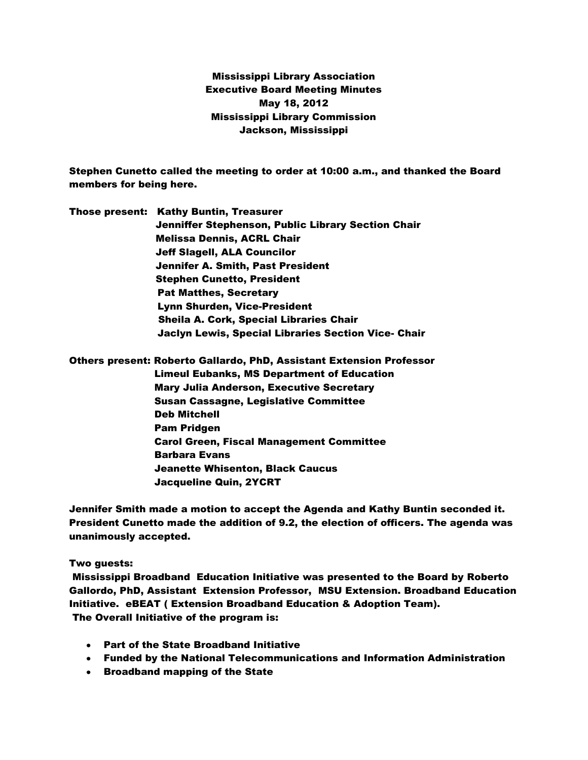Mississippi Library Association Executive Board Meeting Minutes May 18, 2012 Mississippi Library Commission Jackson, Mississippi

Stephen Cunetto called the meeting to order at 10:00 a.m., and thanked the Board members for being here.

Those present: Kathy Buntin, Treasurer Jenniffer Stephenson, Public Library Section Chair Melissa Dennis, ACRL Chair Jeff Slagell, ALA Councilor Jennifer A. Smith, Past President Stephen Cunetto, President Pat Matthes, Secretary Lynn Shurden, Vice-President Sheila A. Cork, Special Libraries Chair Jaclyn Lewis, Special Libraries Section Vice- Chair

Others present: Roberto Gallardo, PhD, Assistant Extension Professor Limeul Eubanks, MS Department of Education Mary Julia Anderson, Executive Secretary Susan Cassagne, Legislative Committee Deb Mitchell Pam Pridgen Carol Green, Fiscal Management Committee Barbara Evans Jeanette Whisenton, Black Caucus Jacqueline Quin, 2YCRT

Jennifer Smith made a motion to accept the Agenda and Kathy Buntin seconded it. President Cunetto made the addition of 9.2, the election of officers. The agenda was unanimously accepted.

Two guests:

Mississippi Broadband Education Initiative was presented to the Board by Roberto Gallordo, PhD, Assistant Extension Professor, MSU Extension. Broadband Education Initiative. eBEAT ( Extension Broadband Education & Adoption Team). The Overall Initiative of the program is:

- Part of the State Broadband Initiative
- Funded by the National Telecommunications and Information Administration
- Broadband mapping of the State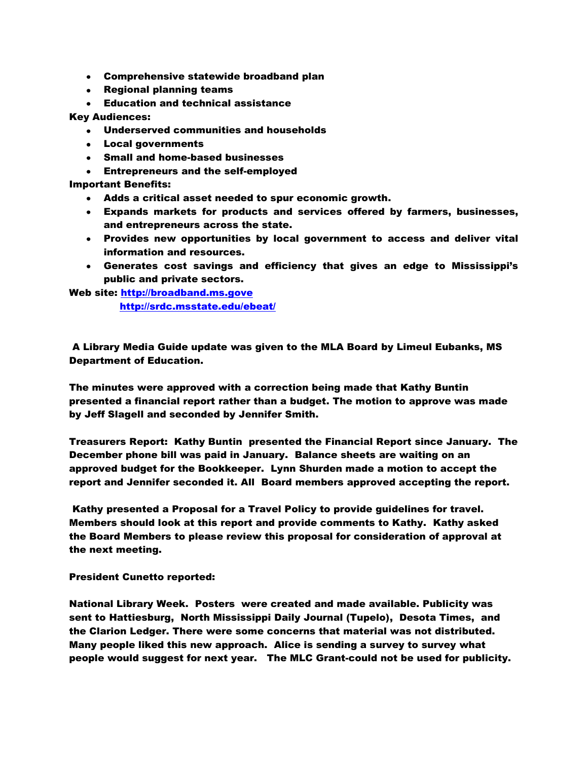- Comprehensive statewide broadband plan
- Regional planning teams
- Education and technical assistance

## Key Audiences:

- Underserved communities and households
- Local governments
- Small and home-based businesses
- Entrepreneurs and the self-employed

Important Benefits:

- $\bullet$ Adds a critical asset needed to spur economic growth.
- Expands markets for products and services offered by farmers, businesses, and entrepreneurs across the state.
- Provides new opportunities by local government to access and deliver vital information and resources.
- Generates cost savings and efficiency that gives an edge to Mississippi's public and private sectors.

Web site: [http://broadband.ms.gove](http://broadband.ms.gove/)

<http://srdc.msstate.edu/ebeat/>

A Library Media Guide update was given to the MLA Board by Limeul Eubanks, MS Department of Education.

The minutes were approved with a correction being made that Kathy Buntin presented a financial report rather than a budget. The motion to approve was made by Jeff Slagell and seconded by Jennifer Smith.

Treasurers Report: Kathy Buntin presented the Financial Report since January. The December phone bill was paid in January. Balance sheets are waiting on an approved budget for the Bookkeeper. Lynn Shurden made a motion to accept the report and Jennifer seconded it. All Board members approved accepting the report.

Kathy presented a Proposal for a Travel Policy to provide guidelines for travel. Members should look at this report and provide comments to Kathy. Kathy asked the Board Members to please review this proposal for consideration of approval at the next meeting.

President Cunetto reported:

National Library Week. Posters were created and made available. Publicity was sent to Hattiesburg, North Mississippi Daily Journal (Tupelo), Desota Times, and the Clarion Ledger. There were some concerns that material was not distributed. Many people liked this new approach. Alice is sending a survey to survey what people would suggest for next year. The MLC Grant-could not be used for publicity.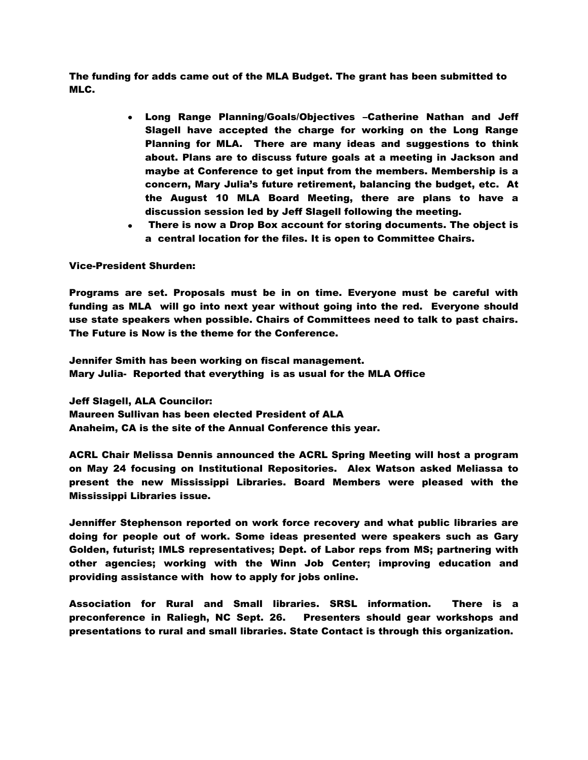The funding for adds came out of the MLA Budget. The grant has been submitted to MLC.

- Long Range Planning/Goals/Objectives –Catherine Nathan and Jeff Slagell have accepted the charge for working on the Long Range Planning for MLA. There are many ideas and suggestions to think about. Plans are to discuss future goals at a meeting in Jackson and maybe at Conference to get input from the members. Membership is a concern, Mary Julia's future retirement, balancing the budget, etc. At the August 10 MLA Board Meeting, there are plans to have a discussion session led by Jeff Slagell following the meeting.
- There is now a Drop Box account for storing documents. The object is a central location for the files. It is open to Committee Chairs.

## Vice-President Shurden:

Programs are set. Proposals must be in on time. Everyone must be careful with funding as MLA will go into next year without going into the red. Everyone should use state speakers when possible. Chairs of Committees need to talk to past chairs. The Future is Now is the theme for the Conference.

Jennifer Smith has been working on fiscal management. Mary Julia- Reported that everything is as usual for the MLA Office

Jeff Slagell, ALA Councilor: Maureen Sullivan has been elected President of ALA Anaheim, CA is the site of the Annual Conference this year.

ACRL Chair Melissa Dennis announced the ACRL Spring Meeting will host a program on May 24 focusing on Institutional Repositories. Alex Watson asked Meliassa to present the new Mississippi Libraries. Board Members were pleased with the Mississippi Libraries issue.

Jenniffer Stephenson reported on work force recovery and what public libraries are doing for people out of work. Some ideas presented were speakers such as Gary Golden, futurist; IMLS representatives; Dept. of Labor reps from MS; partnering with other agencies; working with the Winn Job Center; improving education and providing assistance with how to apply for jobs online.

Association for Rural and Small libraries. SRSL information. There is a preconference in Raliegh, NC Sept. 26. Presenters should gear workshops and presentations to rural and small libraries. State Contact is through this organization.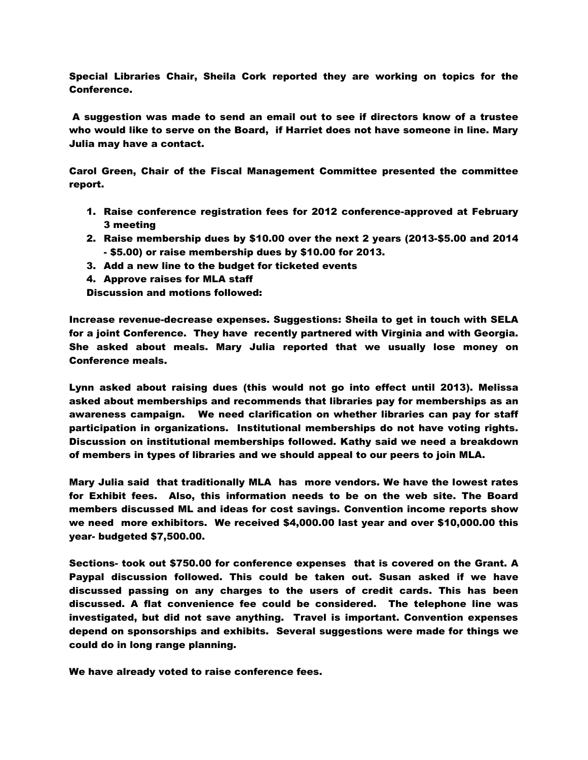Special Libraries Chair, Sheila Cork reported they are working on topics for the Conference.

A suggestion was made to send an email out to see if directors know of a trustee who would like to serve on the Board, if Harriet does not have someone in line. Mary Julia may have a contact.

Carol Green, Chair of the Fiscal Management Committee presented the committee report.

- 1. Raise conference registration fees for 2012 conference-approved at February 3 meeting
- 2. Raise membership dues by \$10.00 over the next 2 years (2013-\$5.00 and 2014 - \$5.00) or raise membership dues by \$10.00 for 2013.
- 3. Add a new line to the budget for ticketed events
- 4. Approve raises for MLA staff

Discussion and motions followed:

Increase revenue-decrease expenses. Suggestions: Sheila to get in touch with SELA for a joint Conference. They have recently partnered with Virginia and with Georgia. She asked about meals. Mary Julia reported that we usually lose money on Conference meals.

Lynn asked about raising dues (this would not go into effect until 2013). Melissa asked about memberships and recommends that libraries pay for memberships as an awareness campaign. We need clarification on whether libraries can pay for staff participation in organizations. Institutional memberships do not have voting rights. Discussion on institutional memberships followed. Kathy said we need a breakdown of members in types of libraries and we should appeal to our peers to join MLA.

Mary Julia said that traditionally MLA has more vendors. We have the lowest rates for Exhibit fees. Also, this information needs to be on the web site. The Board members discussed ML and ideas for cost savings. Convention income reports show we need more exhibitors. We received \$4,000.00 last year and over \$10,000.00 this year- budgeted \$7,500.00.

Sections- took out \$750.00 for conference expenses that is covered on the Grant. A Paypal discussion followed. This could be taken out. Susan asked if we have discussed passing on any charges to the users of credit cards. This has been discussed. A flat convenience fee could be considered. The telephone line was investigated, but did not save anything. Travel is important. Convention expenses depend on sponsorships and exhibits. Several suggestions were made for things we could do in long range planning.

We have already voted to raise conference fees.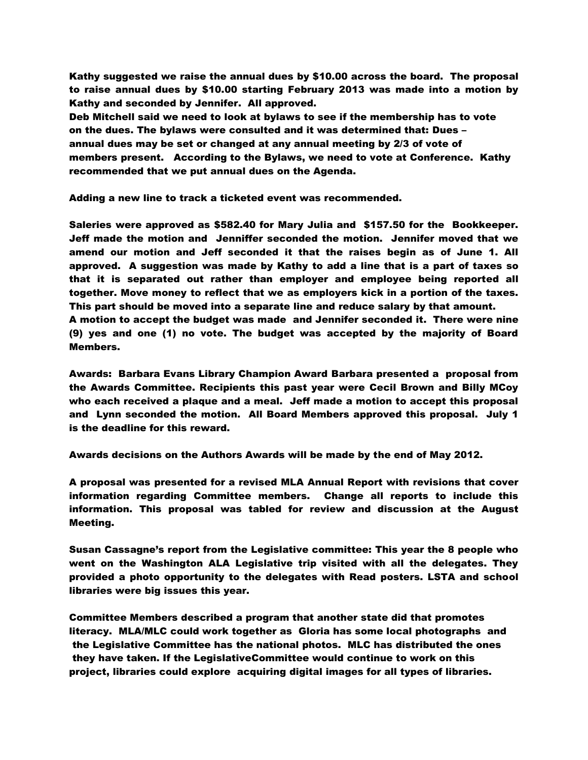Kathy suggested we raise the annual dues by \$10.00 across the board. The proposal to raise annual dues by \$10.00 starting February 2013 was made into a motion by Kathy and seconded by Jennifer. All approved.

Deb Mitchell said we need to look at bylaws to see if the membership has to vote on the dues. The bylaws were consulted and it was determined that: Dues – annual dues may be set or changed at any annual meeting by 2/3 of vote of members present. According to the Bylaws, we need to vote at Conference. Kathy recommended that we put annual dues on the Agenda.

Adding a new line to track a ticketed event was recommended.

Saleries were approved as \$582.40 for Mary Julia and \$157.50 for the Bookkeeper. Jeff made the motion and Jenniffer seconded the motion. Jennifer moved that we amend our motion and Jeff seconded it that the raises begin as of June 1. All approved. A suggestion was made by Kathy to add a line that is a part of taxes so that it is separated out rather than employer and employee being reported all together. Move money to reflect that we as employers kick in a portion of the taxes. This part should be moved into a separate line and reduce salary by that amount.

A motion to accept the budget was made and Jennifer seconded it. There were nine (9) yes and one (1) no vote. The budget was accepted by the majority of Board Members.

Awards: Barbara Evans Library Champion Award Barbara presented a proposal from the Awards Committee. Recipients this past year were Cecil Brown and Billy MCoy who each received a plaque and a meal. Jeff made a motion to accept this proposal and Lynn seconded the motion. All Board Members approved this proposal. July 1 is the deadline for this reward.

Awards decisions on the Authors Awards will be made by the end of May 2012.

A proposal was presented for a revised MLA Annual Report with revisions that cover information regarding Committee members. Change all reports to include this information. This proposal was tabled for review and discussion at the August Meeting.

Susan Cassagne's report from the Legislative committee: This year the 8 people who went on the Washington ALA Legislative trip visited with all the delegates. They provided a photo opportunity to the delegates with Read posters. LSTA and school libraries were big issues this year.

Committee Members described a program that another state did that promotes literacy. MLA/MLC could work together as Gloria has some local photographs and the Legislative Committee has the national photos. MLC has distributed the ones they have taken. If the LegislativeCommittee would continue to work on this project, libraries could explore acquiring digital images for all types of libraries.